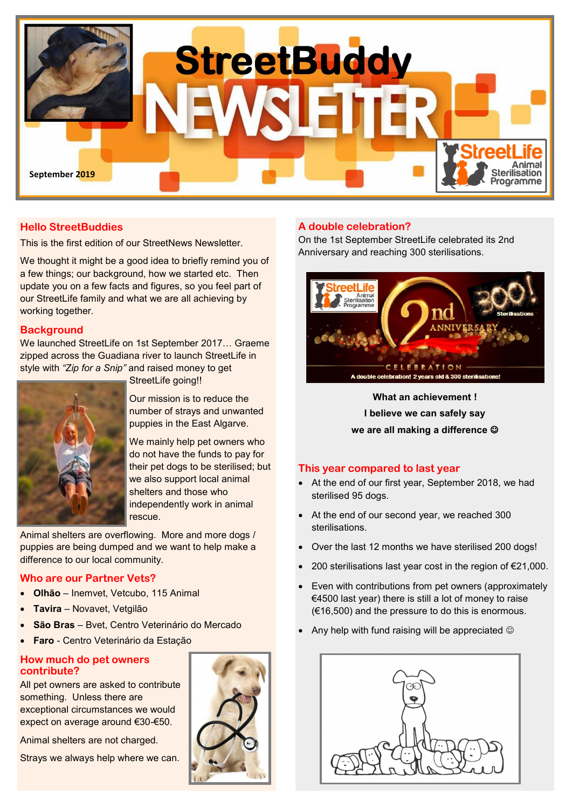

## **Hello StreetBuddies**

This is the first edition of our StreetNews Newsletter.

We thought it might be a good idea to briefly remind you of a few things; our background, how we started etc. Then update you on a few facts and figures, so you feel part of our StreetLife family and what we are all achieving by working together.

#### **Background**

We launched StreetLife on 1st September 2017… Graeme zipped across the Guadiana river to launch StreetLife in style with *"Zip for a Snip"* and raised money to get

StreetLife going!!

Our mission is to reduce the number of strays and unwanted puppies in the East Algarve.

We mainly help pet owners who do not have the funds to pay for their pet dogs to be sterilised; but we also support local animal shelters and those who independently work in animal rescue.

Animal shelters are overflowing. More and more dogs / puppies are being dumped and we want to help make a difference to our local community.

#### **Who are our Partner Vets?**

- **Olhão** Inemvet, Vetcubo, 115 Animal
- **Tavira** Novavet, Vetgilão
- **São Bras**  Bvet, Centro Veterinário do Mercado
- **Faro** Centro Veterinário da Estação

#### **How much do pet owners contribute?**

All pet owners are asked to contribute something. Unless there are exceptional circumstances we would expect on average around €30-€50.

Animal shelters are not charged.

Strays we always help where we can.



## **A double celebration?**

On the 1st September StreetLife celebrated its 2nd Anniversary and reaching 300 sterilisations.



**What an achievement ! I believe we can safely say we are all making a difference** ☺

### **This year compared to last year**

- At the end of our first year, September 2018, we had sterilised 95 dogs.
- At the end of our second year, we reached 300 sterilisations.
- Over the last 12 months we have sterilised 200 dogs!
- 200 sterilisations last year cost in the region of €21,000.
- Even with contributions from pet owners (approximately €4500 last year) there is still a lot of money to raise (€16,500) and the pressure to do this is enormous.
- Any help with fund raising will be appreciated  $\odot$